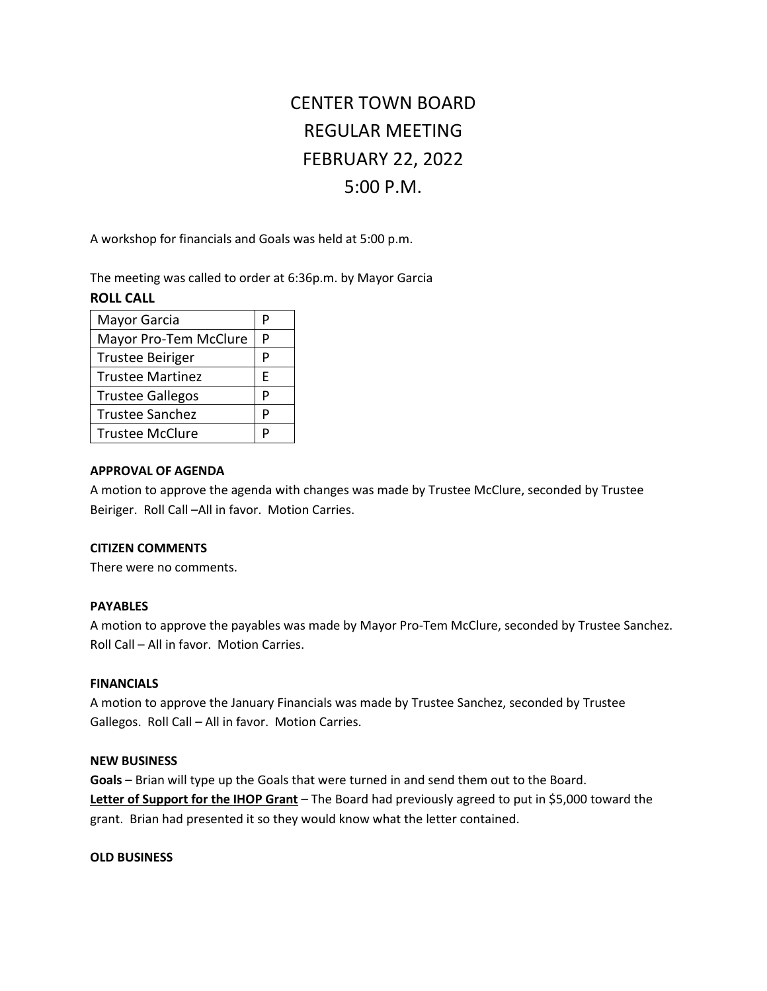# CENTER TOWN BOARD REGULAR MEETING FEBRUARY 22, 2022 5:00 P.M.

A workshop for financials and Goals was held at 5:00 p.m.

The meeting was called to order at 6:36p.m. by Mayor Garcia

## **ROLL CALL**

| Mayor Garcia            |   |
|-------------------------|---|
| Mayor Pro-Tem McClure   |   |
| <b>Trustee Beiriger</b> | р |
| <b>Trustee Martinez</b> | F |
| <b>Trustee Gallegos</b> |   |
| <b>Trustee Sanchez</b>  | P |
| <b>Trustee McClure</b>  |   |

#### **APPROVAL OF AGENDA**

A motion to approve the agenda with changes was made by Trustee McClure, seconded by Trustee Beiriger. Roll Call –All in favor. Motion Carries.

#### **CITIZEN COMMENTS**

There were no comments.

### **PAYABLES**

A motion to approve the payables was made by Mayor Pro-Tem McClure, seconded by Trustee Sanchez. Roll Call – All in favor. Motion Carries.

# **FINANCIALS**

A motion to approve the January Financials was made by Trustee Sanchez, seconded by Trustee Gallegos. Roll Call – All in favor. Motion Carries.

#### **NEW BUSINESS**

**Goals** – Brian will type up the Goals that were turned in and send them out to the Board. **Letter of Support for the IHOP Grant** – The Board had previously agreed to put in \$5,000 toward the grant. Brian had presented it so they would know what the letter contained.

#### **OLD BUSINESS**